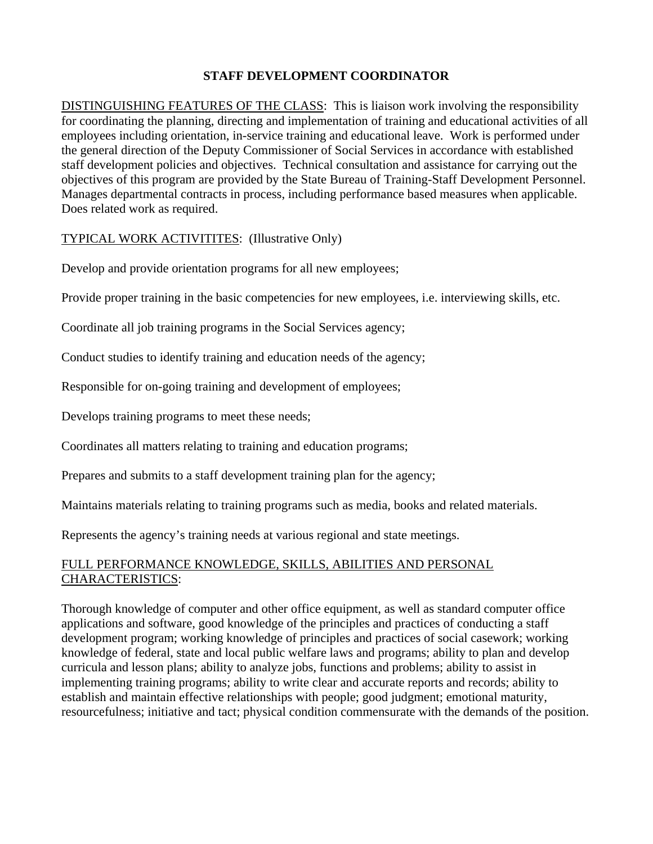## **STAFF DEVELOPMENT COORDINATOR**

DISTINGUISHING FEATURES OF THE CLASS: This is liaison work involving the responsibility for coordinating the planning, directing and implementation of training and educational activities of all . objectives of this program are provided by the State Bureau of Training-Staff Development Personnel employees including orientation, in-service training and educational leave. Work is performed under the general direction of the Deputy Commissioner of Social Services in accordance with established staff development policies and objectives. Technical consultation and assistance for carrying out the Manages departmental contracts in process, including performance based measures when applicable. Does related work as required.

## TYPICAL WORK ACTIVITITES: (Illustrative Only)

Develop and provide orientation programs for all new employees;

Provide proper training in the basic competencies for new employees, i.e. interviewing skills, etc.

Coordinate all job training programs in the Social Services agency;

Conduct studies to identify training and education needs of the agency;

Responsible for on-going training and development of employees;

Develops training programs to meet these needs;

Coordinates all matters relating to training and education programs;

Prepares and submits to a staff development training plan for the agency;

Maintains materials relating to training programs such as media, books and related materials.

Represents the agency's training needs at various regional and state meetings.

## FULL PERFORMANCE KNOWLEDGE, SKILLS, ABILITIES AND PERSONAL CHARACTERISTICS:

Thorough knowledge of computer and other office equipment, as well as standard computer office development program; working knowledge of principles and practices of social casework; working implementing training programs; ability to write clear and accurate reports and records; ability to resourcefulness; initiative and tact; physical condition commensurate with the demands of the position. applications and software, good knowledge of the principles and practices of conducting a staff knowledge of federal, state and local public welfare laws and programs; ability to plan and develop curricula and lesson plans; ability to analyze jobs, functions and problems; ability to assist in establish and maintain effective relationships with people; good judgment; emotional maturity,